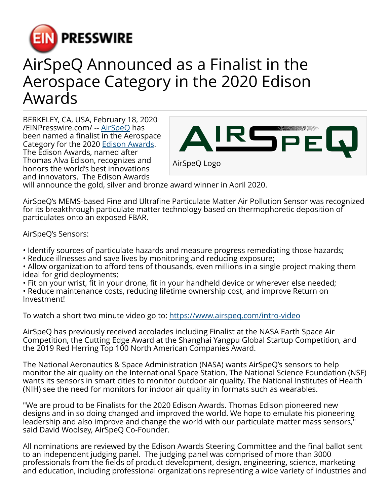

## AirSpeQ Announced as a Finalist in the Aerospace Category in the 2020 Edison Awards

BERKELEY, CA, USA, February 18, 2020 [/EINPresswire.com/](http://www.einpresswire.com) -- [AirSpeQ](http://www.AirSpeQ.com) has been named a finalist in the Aerospace Category for the 2020 [Edison Awards](http://www.edisonawards.com). The Edison Awards, named after Thomas Alva Edison, recognizes and honors the world's best innovations and innovators. The Edison Awards



will announce the gold, silver and bronze award winner in April 2020.

AirSpeQ's MEMS-based Fine and Ultrafine Particulate Matter Air Pollution Sensor was recognized for its breakthrough particulate matter technology based on thermophoretic deposition of particulates onto an exposed FBAR.

AirSpeQ's Sensors:

- Identify sources of particulate hazards and measure progress remediating those hazards;
- Reduce illnesses and save lives by monitoring and reducing exposure;
- Allow organization to afford tens of thousands, even millions in a single project making them ideal for grid deployments;
- Fit on your wrist, fit in your drone, fit in your handheld device or wherever else needed;
- Reduce maintenance costs, reducing lifetime ownership cost, and improve Return on Investment!

To watch a short two minute video go to: <https://www.airspeq.com/intro-video>

AirSpeQ has previously received accolades including Finalist at the NASA Earth Space Air Competition, the Cutting Edge Award at the Shanghai Yangpu Global Startup Competition, and the 2019 Red Herring Top 100 North American Companies Award.

The National Aeronautics & Space Administration (NASA) wants AirSpeQ's sensors to help monitor the air quality on the International Space Station. The National Science Foundation (NSF) wants its sensors in smart cities to monitor outdoor air quality. The National Institutes of Health (NIH) see the need for monitors for indoor air quality in formats such as wearables.

"We are proud to be Finalists for the 2020 Edison Awards. Thomas Edison pioneered new designs and in so doing changed and improved the world. We hope to emulate his pioneering leadership and also improve and change the world with our particulate matter mass sensors," said David Woolsey, AirSpeQ Co-Founder.

All nominations are reviewed by the Edison Awards Steering Committee and the final ballot sent to an independent judging panel. The judging panel was comprised of more than 3000 professionals from the fields of product development, design, engineering, science, marketing and education, including professional organizations representing a wide variety of industries and